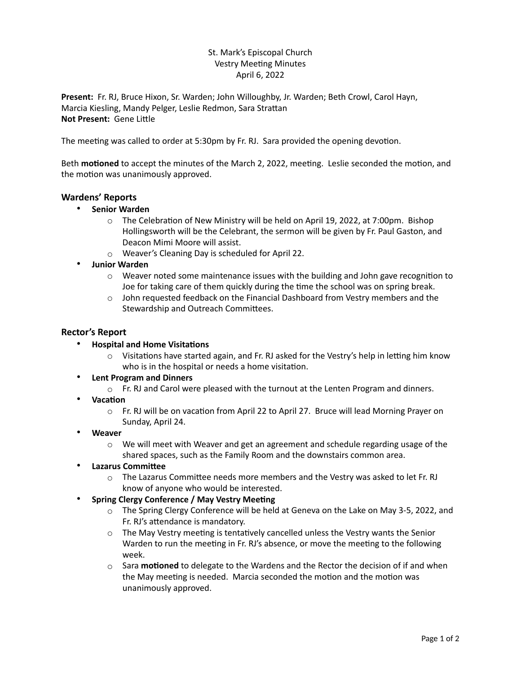## St. Mark's Episcopal Church Vestry Meeting Minutes April 6, 2022

**Present:** Fr. RJ, Bruce Hixon, Sr. Warden; John Willoughby, Jr. Warden; Beth Crowl, Carol Hayn, Marcia Kiesling, Mandy Pelger, Leslie Redmon, Sara Strattan **Not Present:** Gene Little

The meeting was called to order at 5:30pm by Fr. RJ. Sara provided the opening devotion.

Beth **motioned** to accept the minutes of the March 2, 2022, meeting. Leslie seconded the motion, and the motion was unanimously approved.

## **Wardens' Reports**

- **Senior Warden**
	- o The Celebration of New Ministry will be held on April 19, 2022, at 7:00pm. Bishop Hollingsworth will be the Celebrant, the sermon will be given by Fr. Paul Gaston, and Deacon Mimi Moore will assist.
	- o Weaver's Cleaning Day is scheduled for April 22.
- **Junior Warden**
	- $\circ$  Weaver noted some maintenance issues with the building and John gave recognition to Joe for taking care of them quickly during the time the school was on spring break.
	- $\circ$  John requested feedback on the Financial Dashboard from Vestry members and the Stewardship and Outreach Committees.

### **Rector's Report**

- **Hospital and Home Visitations**
	- o Visitations have started again, and Fr. RJ asked for the Vestry's help in letting him know who is in the hospital or needs a home visitation.
- **Lent Program and Dinners**
	- $\circ$  Fr. RJ and Carol were pleased with the turnout at the Lenten Program and dinners.
- **Vacation**
	- o Fr. RJ will be on vacation from April 22 to April 27. Bruce will lead Morning Prayer on Sunday, April 24.
- **Weaver**
	- $\circ$  We will meet with Weaver and get an agreement and schedule regarding usage of the shared spaces, such as the Family Room and the downstairs common area.
- **Lazarus Committee**
	- o The Lazarus Committee needs more members and the Vestry was asked to let Fr. RJ know of anyone who would be interested.
- **Spring Clergy Conference / May Vestry Meeting**
	- $\circ$  The Spring Clergy Conference will be held at Geneva on the Lake on May 3-5, 2022, and Fr. RJ's attendance is mandatory.
	- $\circ$  The May Vestry meeting is tentatively cancelled unless the Vestry wants the Senior Warden to run the meeting in Fr. RJ's absence, or move the meeting to the following week.
	- o Sara **motioned** to delegate to the Wardens and the Rector the decision of if and when the May meeting is needed. Marcia seconded the motion and the motion was unanimously approved.